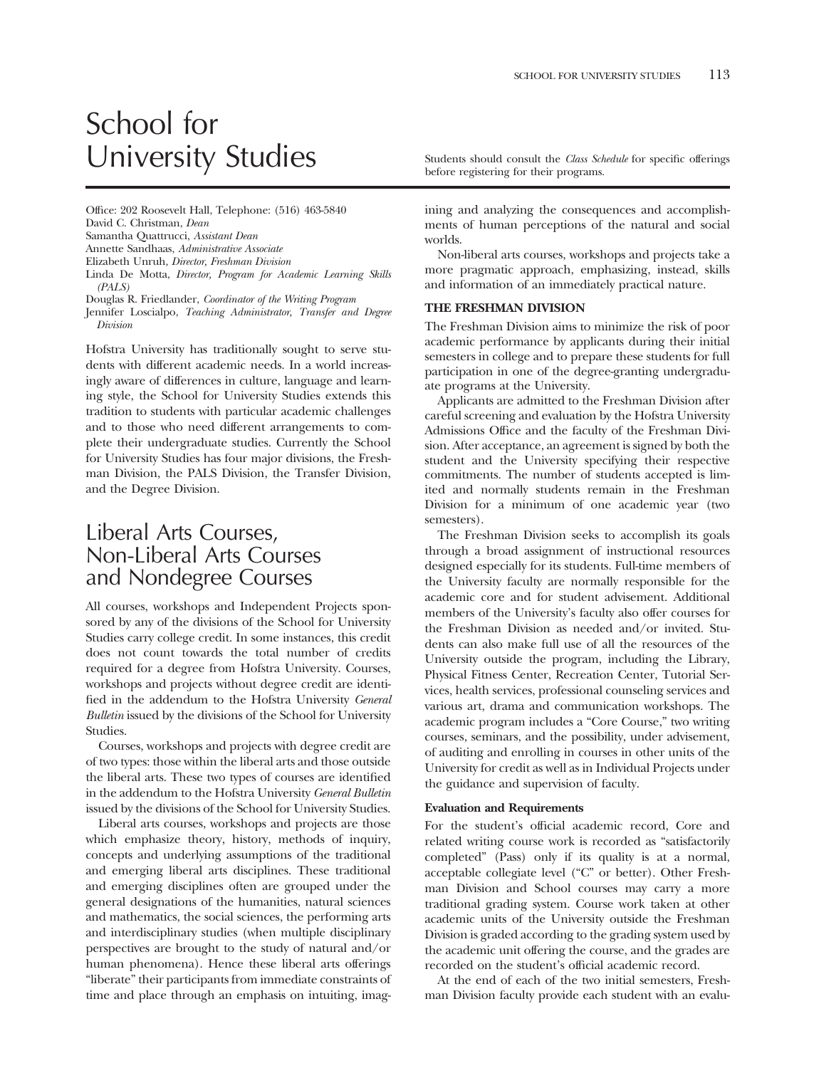# School for University Studies Students should consult the *Class Schedule* for specific offerings

Office: 202 Roosevelt Hall, Telephone: (516) 463-5840 David C. Christman, *Dean* 

Samantha Quattrucci, *Assistant Dean* 

Annette Sandhaas, *Administrative Associate* 

Elizabeth Unruh, *Director, Freshman Division* 

Linda De Motta, *Director, Program for Academic Learning Skills (PALS)* 

Douglas R. Friedlander, *Coordinator of the Writing Program* 

Jennifer Loscialpo, *Teaching Administrator, Transfer and Degree Division* 

Hofstra University has traditionally sought to serve students with different academic needs. In a world increasingly aware of differences in culture, language and learning style, the School for University Studies extends this tradition to students with particular academic challenges and to those who need different arrangements to complete their undergraduate studies. Currently the School for University Studies has four major divisions, the Freshman Division, the PALS Division, the Transfer Division, and the Degree Division.

## Liberal Arts Courses, Non-Liberal Arts Courses and Nondegree Courses

All courses, workshops and Independent Projects sponsored by any of the divisions of the School for University Studies carry college credit. In some instances, this credit does not count towards the total number of credits required for a degree from Hofstra University. Courses, workshops and projects without degree credit are identifed in the addendum to the Hofstra University *General Bulletin* issued by the divisions of the School for University Studies.

Courses, workshops and projects with degree credit are of two types: those within the liberal arts and those outside the liberal arts. These two types of courses are identifed in the addendum to the Hofstra University *General Bulletin*  issued by the divisions of the School for University Studies.

Liberal arts courses, workshops and projects are those which emphasize theory, history, methods of inquiry, concepts and underlying assumptions of the traditional and emerging liberal arts disciplines. These traditional and emerging disciplines often are grouped under the general designations of the humanities, natural sciences and mathematics, the social sciences, the performing arts and interdisciplinary studies (when multiple disciplinary perspectives are brought to the study of natural and/or human phenomena). Hence these liberal arts offerings "liberate" their participants from immediate constraints of time and place through an emphasis on intuiting, imagbefore registering for their programs.

ining and analyzing the consequences and accomplishments of human perceptions of the natural and social worlds.

Non-liberal arts courses, workshops and projects take a more pragmatic approach, emphasizing, instead, skills and information of an immediately practical nature.

#### **THE FRESHMAN DIVISION**

The Freshman Division aims to minimize the risk of poor academic performance by applicants during their initial semesters in college and to prepare these students for full participation in one of the degree-granting undergraduate programs at the University.

Applicants are admitted to the Freshman Division after careful screening and evaluation by the Hofstra University Admissions Office and the faculty of the Freshman Division. After acceptance, an agreement is signed by both the student and the University specifying their respective commitments. The number of students accepted is limited and normally students remain in the Freshman Division for a minimum of one academic year (two semesters).

The Freshman Division seeks to accomplish its goals through a broad assignment of instructional resources designed especially for its students. Full-time members of the University faculty are normally responsible for the academic core and for student advisement. Additional members of the University's faculty also offer courses for the Freshman Division as needed and/or invited. Students can also make full use of all the resources of the University outside the program, including the Library, Physical Fitness Center, Recreation Center, Tutorial Services, health services, professional counseling services and various art, drama and communication workshops. The academic program includes a "Core Course," two writing courses, seminars, and the possibility, under advisement, of auditing and enrolling in courses in other units of the University for credit as well as in Individual Projects under the guidance and supervision of faculty.

#### **Evaluation and Requirements**

For the student's official academic record, Core and related writing course work is recorded as "satisfactorily completed" (Pass) only if its quality is at a normal, acceptable collegiate level ("C" or better). Other Freshman Division and School courses may carry a more traditional grading system. Course work taken at other academic units of the University outside the Freshman Division is graded according to the grading system used by the academic unit offering the course, and the grades are recorded on the student's official academic record.

At the end of each of the two initial semesters, Freshman Division faculty provide each student with an evalu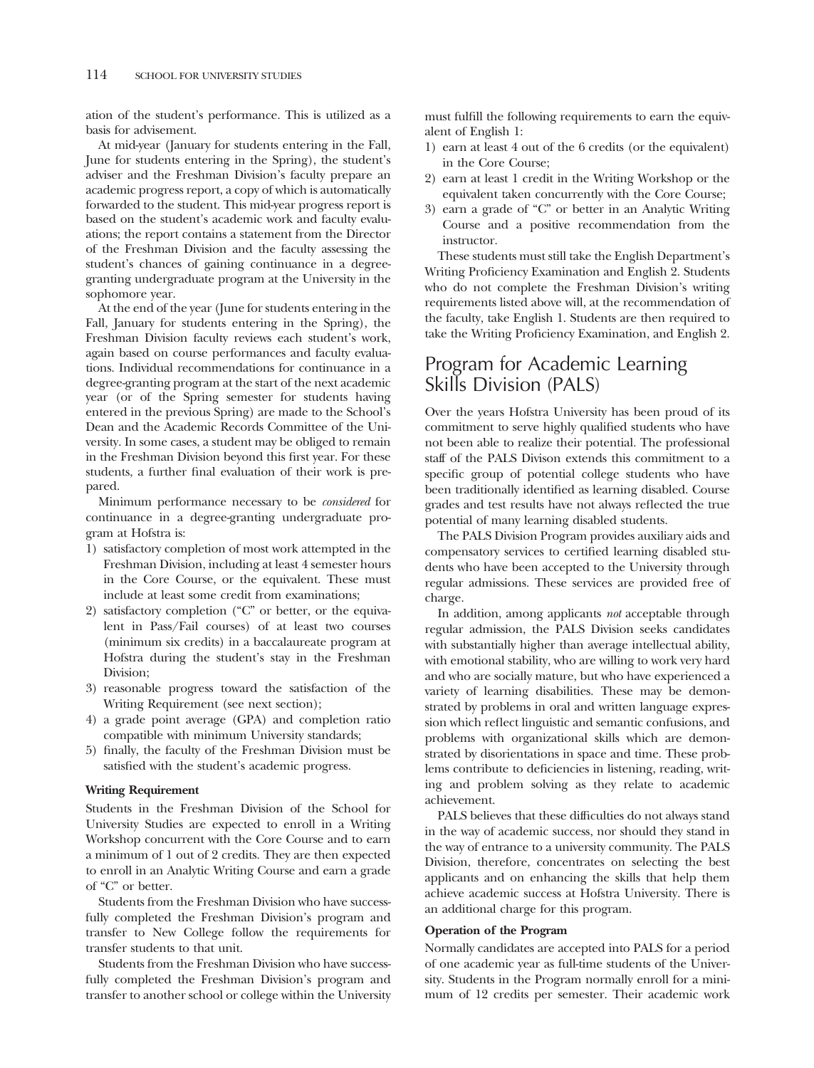ation of the student's performance. This is utilized as a basis for advisement.

At mid-year (January for students entering in the Fall, June for students entering in the Spring), the student's adviser and the Freshman Division's faculty prepare an academic progress report, a copy of which is automatically forwarded to the student. This mid-year progress report is based on the student's academic work and faculty evaluations; the report contains a statement from the Director of the Freshman Division and the faculty assessing the student's chances of gaining continuance in a degreegranting undergraduate program at the University in the sophomore year.

At the end of the year (June for students entering in the Fall, January for students entering in the Spring), the Freshman Division faculty reviews each student's work, again based on course performances and faculty evaluations. Individual recommendations for continuance in a degree-granting program at the start of the next academic year (or of the Spring semester for students having entered in the previous Spring) are made to the School's Dean and the Academic Records Committee of the University. In some cases, a student may be obliged to remain in the Freshman Division beyond this frst year. For these students, a further fnal evaluation of their work is prepared.

Minimum performance necessary to be *considered* for continuance in a degree-granting undergraduate program at Hofstra is:

- 1) satisfactory completion of most work attempted in the Freshman Division, including at least 4 semester hours in the Core Course, or the equivalent. These must include at least some credit from examinations;
- 2) satisfactory completion ("C" or better, or the equivalent in Pass/Fail courses) of at least two courses (minimum six credits) in a baccalaureate program at Hofstra during the student's stay in the Freshman Division;
- 3) reasonable progress toward the satisfaction of the Writing Requirement (see next section);
- 4) a grade point average (GPA) and completion ratio compatible with minimum University standards;
- 5) fnally, the faculty of the Freshman Division must be satisfed with the student's academic progress.

#### **Writing Requirement**

Students in the Freshman Division of the School for University Studies are expected to enroll in a Writing Workshop concurrent with the Core Course and to earn a minimum of 1 out of 2 credits. They are then expected to enroll in an Analytic Writing Course and earn a grade of "C" or better.

Students from the Freshman Division who have successfully completed the Freshman Division's program and transfer to New College follow the requirements for transfer students to that unit.

Students from the Freshman Division who have successfully completed the Freshman Division's program and transfer to another school or college within the University must fulfll the following requirements to earn the equivalent of English 1:

- 1) earn at least 4 out of the 6 credits (or the equivalent) in the Core Course;
- 2) earn at least 1 credit in the Writing Workshop or the equivalent taken concurrently with the Core Course;
- 3) earn a grade of "C" or better in an Analytic Writing Course and a positive recommendation from the instructor.

These students must still take the English Department's Writing Profciency Examination and English 2. Students who do not complete the Freshman Division's writing requirements listed above will, at the recommendation of the faculty, take English 1. Students are then required to take the Writing Profciency Examination, and English 2.

### Program for Academic Learning Skills Division (PALS)

Over the years Hofstra University has been proud of its commitment to serve highly qualifed students who have not been able to realize their potential. The professional staff of the PALS Divison extends this commitment to a specifc group of potential college students who have been traditionally identifed as learning disabled. Course grades and test results have not always refected the true potential of many learning disabled students.

The PALS Division Program provides auxiliary aids and compensatory services to certifed learning disabled students who have been accepted to the University through regular admissions. These services are provided free of charge.

In addition, among applicants *not* acceptable through regular admission, the PALS Division seeks candidates with substantially higher than average intellectual ability, with emotional stability, who are willing to work very hard and who are socially mature, but who have experienced a variety of learning disabilities. These may be demonstrated by problems in oral and written language expression which refect linguistic and semantic confusions, and problems with organizational skills which are demonstrated by disorientations in space and time. These problems contribute to defciencies in listening, reading, writing and problem solving as they relate to academic achievement.

PALS believes that these difficulties do not always stand in the way of academic success, nor should they stand in the way of entrance to a university community. The PALS Division, therefore, concentrates on selecting the best applicants and on enhancing the skills that help them achieve academic success at Hofstra University. There is an additional charge for this program.

#### **Operation of the Program**

Normally candidates are accepted into PALS for a period of one academic year as full-time students of the University. Students in the Program normally enroll for a minimum of 12 credits per semester. Their academic work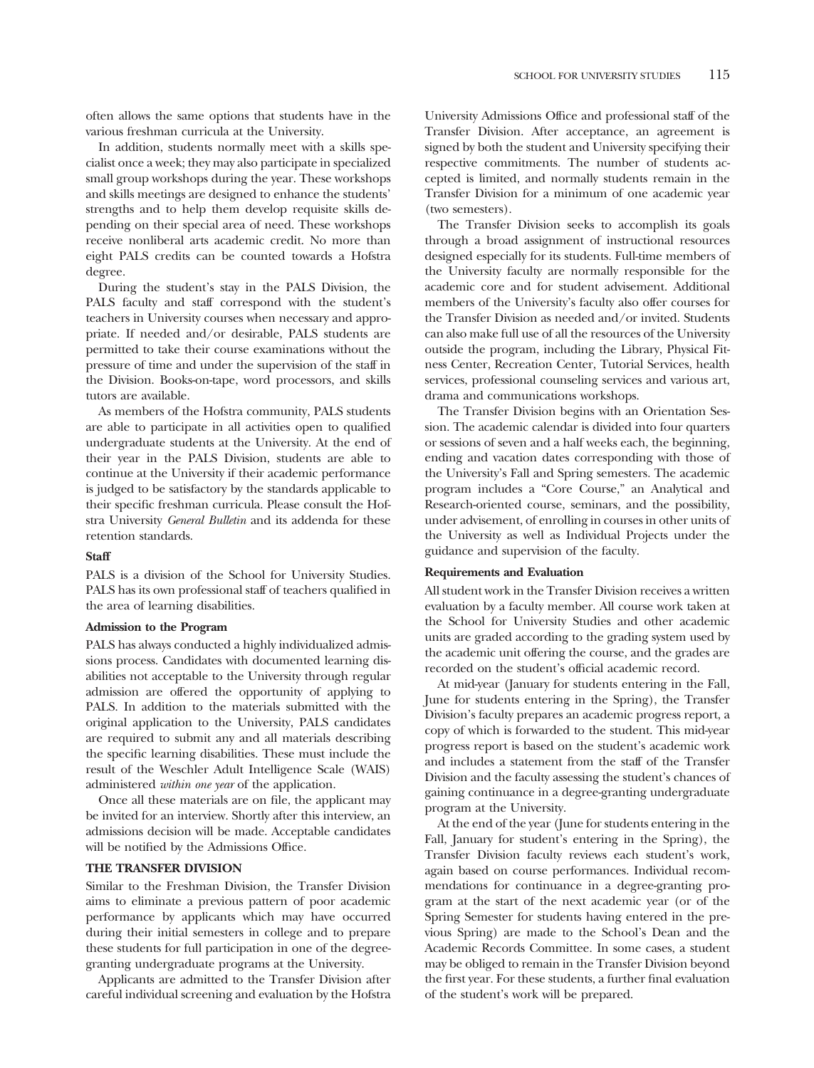often allows the same options that students have in the various freshman curricula at the University.

In addition, students normally meet with a skills specialist once a week; they may also participate in specialized small group workshops during the year. These workshops and skills meetings are designed to enhance the students' strengths and to help them develop requisite skills depending on their special area of need. These workshops receive nonliberal arts academic credit. No more than eight PALS credits can be counted towards a Hofstra degree.

During the student's stay in the PALS Division, the PALS faculty and staff correspond with the student's teachers in University courses when necessary and appropriate. If needed and/or desirable, PALS students are permitted to take their course examinations without the pressure of time and under the supervision of the staff in the Division. Books-on-tape, word processors, and skills tutors are available.

As members of the Hofstra community, PALS students are able to participate in all activities open to qualifed undergraduate students at the University. At the end of their year in the PALS Division, students are able to continue at the University if their academic performance is judged to be satisfactory by the standards applicable to their specifc freshman curricula. Please consult the Hofstra University *General Bulletin* and its addenda for these retention standards.

#### **Staff**

PALS is a division of the School for University Studies. PALS has its own professional staff of teachers qualifed in the area of learning disabilities.

#### **Admission to the Program**

PALS has always conducted a highly individualized admissions process. Candidates with documented learning disabilities not acceptable to the University through regular admission are offered the opportunity of applying to PALS. In addition to the materials submitted with the original application to the University, PALS candidates are required to submit any and all materials describing the specifc learning disabilities. These must include the result of the Weschler Adult Intelligence Scale (WAIS) administered *within one year* of the application.

Once all these materials are on fle, the applicant may be invited for an interview. Shortly after this interview, an admissions decision will be made. Acceptable candidates will be notified by the Admissions Office.

#### **THE TRANSFER DIVISION**

Similar to the Freshman Division, the Transfer Division aims to eliminate a previous pattern of poor academic performance by applicants which may have occurred during their initial semesters in college and to prepare these students for full participation in one of the degreegranting undergraduate programs at the University.

Applicants are admitted to the Transfer Division after careful individual screening and evaluation by the Hofstra

University Admissions Office and professional staff of the Transfer Division. After acceptance, an agreement is signed by both the student and University specifying their respective commitments. The number of students accepted is limited, and normally students remain in the Transfer Division for a minimum of one academic year (two semesters).

The Transfer Division seeks to accomplish its goals through a broad assignment of instructional resources designed especially for its students. Full-time members of the University faculty are normally responsible for the academic core and for student advisement. Additional members of the University's faculty also offer courses for the Transfer Division as needed and/or invited. Students can also make full use of all the resources of the University outside the program, including the Library, Physical Fitness Center, Recreation Center, Tutorial Services, health services, professional counseling services and various art, drama and communications workshops.

The Transfer Division begins with an Orientation Session. The academic calendar is divided into four quarters or sessions of seven and a half weeks each, the beginning, ending and vacation dates corresponding with those of the University's Fall and Spring semesters. The academic program includes a "Core Course," an Analytical and Research-oriented course, seminars, and the possibility, under advisement, of enrolling in courses in other units of the University as well as Individual Projects under the guidance and supervision of the faculty.

#### **Requirements and Evaluation**

All student work in the Transfer Division receives a written evaluation by a faculty member. All course work taken at the School for University Studies and other academic units are graded according to the grading system used by the academic unit offering the course, and the grades are recorded on the student's official academic record.

At mid-year (January for students entering in the Fall, June for students entering in the Spring), the Transfer Division's faculty prepares an academic progress report, a copy of which is forwarded to the student. This mid-year progress report is based on the student's academic work and includes a statement from the staff of the Transfer Division and the faculty assessing the student's chances of gaining continuance in a degree-granting undergraduate program at the University.

At the end of the year (June for students entering in the Fall, January for student's entering in the Spring), the Transfer Division faculty reviews each student's work, again based on course performances. Individual recommendations for continuance in a degree-granting program at the start of the next academic year (or of the Spring Semester for students having entered in the previous Spring) are made to the School's Dean and the Academic Records Committee. In some cases, a student may be obliged to remain in the Transfer Division beyond the frst year. For these students, a further fnal evaluation of the student's work will be prepared.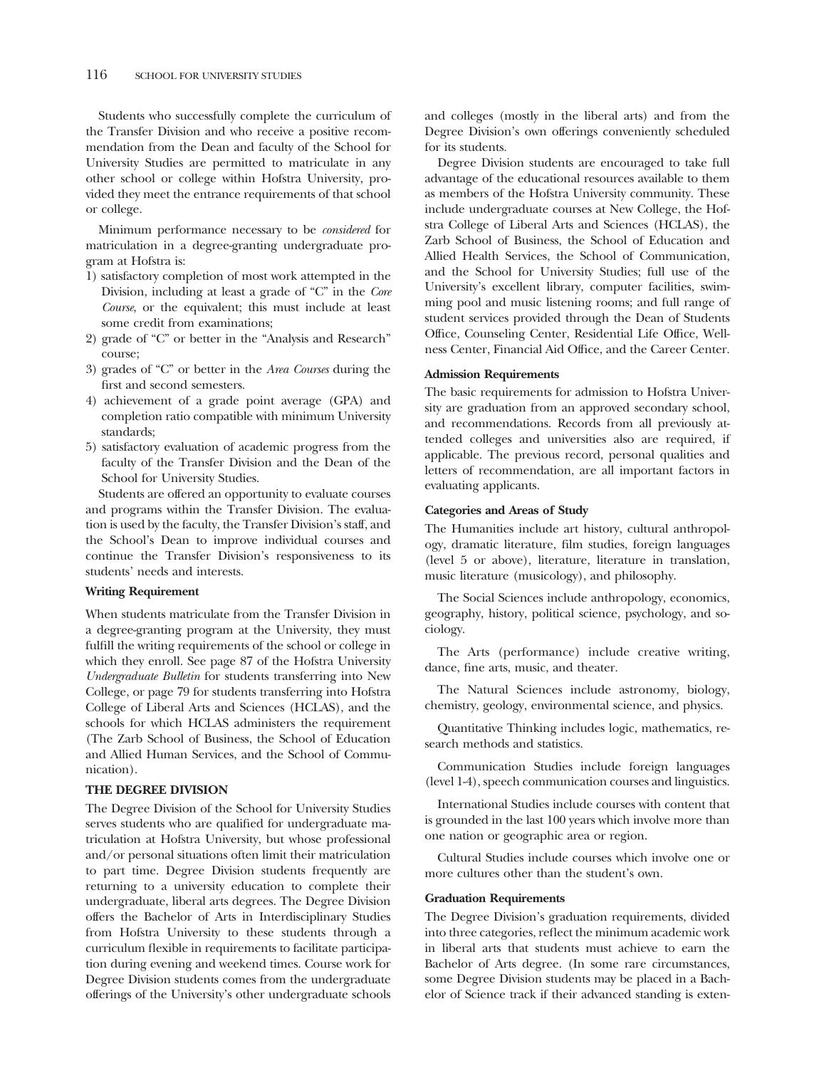Students who successfully complete the curriculum of the Transfer Division and who receive a positive recommendation from the Dean and faculty of the School for University Studies are permitted to matriculate in any other school or college within Hofstra University, provided they meet the entrance requirements of that school or college.

Minimum performance necessary to be *considered* for matriculation in a degree-granting undergraduate program at Hofstra is:

- 1) satisfactory completion of most work attempted in the Division, including at least a grade of "C" in the *Core Course*, or the equivalent; this must include at least some credit from examinations;
- 2) grade of "C" or better in the "Analysis and Research" course;
- 3) grades of "C" or better in the *Area Courses* during the frst and second semesters.
- 4) achievement of a grade point average (GPA) and completion ratio compatible with minimum University standards;
- 5) satisfactory evaluation of academic progress from the faculty of the Transfer Division and the Dean of the School for University Studies.

Students are offered an opportunity to evaluate courses and programs within the Transfer Division. The evaluation is used by the faculty, the Transfer Division's staff, and the School's Dean to improve individual courses and continue the Transfer Division's responsiveness to its students' needs and interests.

#### **Writing Requirement**

When students matriculate from the Transfer Division in a degree-granting program at the University, they must fulfll the writing requirements of the school or college in which they enroll. See page 87 of the Hofstra University *Undergraduate Bulletin* for students transferring into New College, or page 79 for students transferring into Hofstra College of Liberal Arts and Sciences (HCLAS), and the schools for which HCLAS administers the requirement (The Zarb School of Business, the School of Education and Allied Human Services, and the School of Communication).

#### **THE DEGREE DIVISION**

The Degree Division of the School for University Studies serves students who are qualifed for undergraduate matriculation at Hofstra University, but whose professional and/or personal situations often limit their matriculation to part time. Degree Division students frequently are returning to a university education to complete their undergraduate, liberal arts degrees. The Degree Division offers the Bachelor of Arts in Interdisciplinary Studies from Hofstra University to these students through a curriculum fexible in requirements to facilitate participation during evening and weekend times. Course work for Degree Division students comes from the undergraduate offerings of the University's other undergraduate schools

and colleges (mostly in the liberal arts) and from the Degree Division's own offerings conveniently scheduled for its students.

Degree Division students are encouraged to take full advantage of the educational resources available to them as members of the Hofstra University community. These include undergraduate courses at New College, the Hofstra College of Liberal Arts and Sciences (HCLAS), the Zarb School of Business, the School of Education and Allied Health Services, the School of Communication, and the School for University Studies; full use of the University's excellent library, computer facilities, swimming pool and music listening rooms; and full range of student services provided through the Dean of Students Office, Counseling Center, Residential Life Office, Wellness Center, Financial Aid Office, and the Career Center.

#### **Admission Requirements**

The basic requirements for admission to Hofstra University are graduation from an approved secondary school, and recommendations. Records from all previously attended colleges and universities also are required, if applicable. The previous record, personal qualities and letters of recommendation, are all important factors in evaluating applicants.

#### **Categories and Areas of Study**

The Humanities include art history, cultural anthropology, dramatic literature, flm studies, foreign languages (level 5 or above), literature, literature in translation, music literature (musicology), and philosophy.

The Social Sciences include anthropology, economics, geography, history, political science, psychology, and sociology.

The Arts (performance) include creative writing, dance, fne arts, music, and theater.

The Natural Sciences include astronomy, biology, chemistry, geology, environmental science, and physics.

Quantitative Thinking includes logic, mathematics, research methods and statistics.

Communication Studies include foreign languages (level 1-4), speech communication courses and linguistics.

International Studies include courses with content that is grounded in the last 100 years which involve more than one nation or geographic area or region.

Cultural Studies include courses which involve one or more cultures other than the student's own.

#### **Graduation Requirements**

The Degree Division's graduation requirements, divided into three categories, refect the minimum academic work in liberal arts that students must achieve to earn the Bachelor of Arts degree. (In some rare circumstances, some Degree Division students may be placed in a Bachelor of Science track if their advanced standing is exten